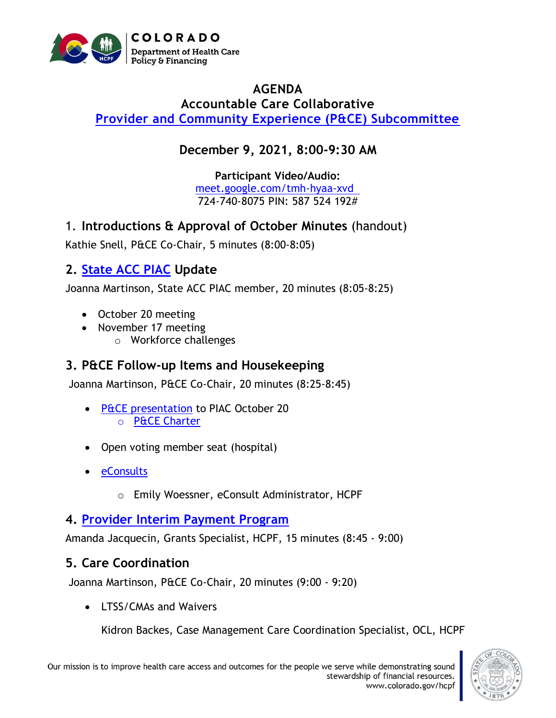

#### **AGENDA Accountable Care Collaborative [Provider and Community Experience \(P&CE\) Subcommittee](https://hcpf.colorado.gov/provider-and-community-experience-subcommittee)**

# **December 9, 2021, 8:00-9:30 AM**

**Participant Video/Audio:** [meet.google.com/tmh-hyaa-xvd](http://meet.google.com/tmh-hyaa-xvd)  724-740-8075 PIN: 587 524 192#

1. **Introductions & Approval of October Minutes** (handout)

Kathie Snell, P&CE Co-Chair, 5 minutes (8:00-8:05)

# **2. [State ACC PIAC](https://www.colorado.gov/pacific/hcpf/accountable-care-collaborative-program-improvement-advisory-committee) Update**

Joanna Martinson, State ACC PIAC member, 20 minutes (8:05-8:25)

- October 20 meeting
- November 17 meeting
	- o Workforce challenges

## **3. P&CE Follow-up Items and Housekeeping**

Joanna Martinson, P&CE Co-Chair, 20 minutes (8:25-8:45)

- [P&CE presentation](https://hcpf.colorado.gov/sites/hcpf/files/Accountable%20Care%20Collaborative%20Program%20Improvement%20Advisory%20Committee%20Provider%20and%20Community%20Experience%20Subcommittee%20PowerPoint%20October%202021.pdf) to PIAC October 20 o [P&CE Charter](https://hcpf.colorado.gov/sites/hcpf/files/Accountable%20Care%20Collaborative%20Program%20Improvement%20Advisory%20Committee%20Provider%20and%20Community%20Experience%20Subcommittee%20Charter%20October%202021.pdf)
- Open voting member seat (hospital)
- [eConsults](https://hcpf.colorado.gov/stakeholder-telemedicine)
	- o Emily Woessner, eConsult Administrator, HCPF

## **4. [Provider Interim Payment Program](https://hcpf.colorado.gov/integrated-care-provider)**

Amanda Jacquecin, Grants Specialist, HCPF, 15 minutes (8:45 - 9:00)

## **5. Care Coordination**

Joanna Martinson, P&CE Co-Chair, 20 minutes (9:00 - 9:20)

• LTSS/CMAs and Waivers

Kidron Backes, Case Management Care Coordination Specialist, OCL, HCPF